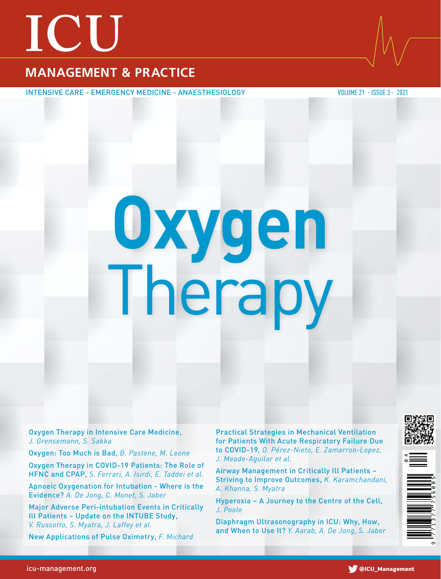## **ICU**

#### **MANAGEMENT & PRACTICE**

INTENSIVE CARE - EMERGENCY MEDICINE - ANAESTHESIOLOGY VALUE 21 - ISSUE 3 - 2021

# **Oxygen** Therapy

Oxygen Therapy in Intensive Care Medicine, *J. Grensemann, S. Sakka* 

Oxygen: Too Much is Bad, *B. Pastene, M. Leone*

Oxygen Therapy in COVID-19 Patients: The Role of HFNC and CPAP, *S. Ferrari, A. Isirdi, E. Taddei et al.* 

Apnoeic Oxygenation for Intubation - Where is the Evidence? *A. De Jong, C. Monet, S. Jaber* 

Major Adverse Peri-intubation Events in Critically Ill Patients – Update on the INTUBE Study, *V. Russotto, S. Myatra, J. Laffey et al.* 

New Applications of Pulse Oximetry, *F. Michard*

Practical Strategies in Mechanical Ventilation for Patients With Acute Respiratory Failure Due to COVID-19*, O. Pérez-Nieto, E. Zamarron-Lopez, J. Meade-Aguilar et al.* 

Airway Management in Critically Ill Patients – Striving to Improve Outcomes, *K. Karamchandani, A. Khanna, S. Myatra* 

Hyperoxia – A Journey to the Centre of the Cell, *J. Poole*

Diaphragm Ultrasonography in ICU: Why, How, and When to Use It? *Y. Aarab, A. De Jong, S. Jaber*





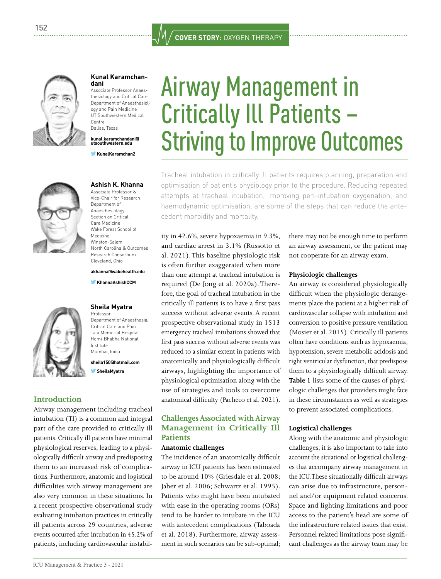

#### **[Kunal Karamchan-](https://healthmanagement.org/icu/viewProfile/124458/Kunal_Karamchandani) [dani](https://healthmanagement.org/icu/viewProfile/124458/Kunal_Karamchandani)**

Associate Professor Anaesthesiology and Critical Care Department of Anaesthesiology and Pain Medicine UT Southwestern Medical Centre Dallas, Texas

**[kunal.karamchandani@](mailto:kunal.karamchandani%40utsouthwestern.edu?subject=) [utsouthwestern.edu](mailto:kunal.karamchandani%40utsouthwestern.edu?subject=)**

 **[KunalKaramchan2](https://twitter.com/kunalkaramchan2)**



#### **[Ashish K. Khanna](https://healthmanagement.org/icu/viewProfile/119037/Ashish_Khanna)**

Associate Professor & Vice-Chair for Research Department of Anaesthesiology Section on Critical Care Medicine Wake Forest School of Medicine Winston-Salem North Carolina & Outcomes Research Consortium Cleveland, Ohio

**[akhanna@wakehealth.edu](mailto:akhanna%40wakehealth.edu?subject=)**

 **[KhannaAshishCCM](https://twitter.com/KhannaAshishCCM)**



#### **[Sheila Myatra](https://healthmanagement.org/icu/viewProfile/3814/Sheila_Myatra)**  Professor

Department of Anaesthesia, Critical Care and Pain Tata Memorial Hospital Homi-Bhabha National Institute Mumbai, India

**[sheila150@hotmail.com](mailto:sheila150%40hotmail.com?subject=)  [SheilaMyatra](https://twitter.com/SheilaMyatra)**

#### **Introduction**

Airway management including tracheal intubation (TI) is a common and integral part of the care provided to critically ill patients. Critically ill patients have minimal physiological reserves, leading to a physiologically difficult airway and predisposing them to an increased risk of complications. Furthermore, anatomic and logistical difficulties with airway management are also very common in these situations. In a recent prospective observational study evaluating intubation practices in critically ill patients across 29 countries, adverse events occurred after intubation in 45.2% of patients, including cardiovascular instabil-

### Airway Management in Critically Ill Patients – Striving to Improve Outcomes

Tracheal intubation in critically ill patients requires planning, preparation and optimisation of patient's physiology prior to the procedure. Reducing repeated attempts at tracheal intubation, improving peri-intubation oxygenation, and haemodynamic optimisation, are some of the steps that can reduce the antecedent morbidity and mortality.

ity in 42.6%, severe hypoxaemia in 9.3%, and cardiac arrest in 3.1% (Russotto et al. 2021). This baseline physiologic risk is often further exaggerated when more than one attempt at tracheal intubation is required (De Jong et al. 2020a). Therefore, the goal of tracheal intubation in the critically ill patients is to have a first pass success without adverse events. A recent prospective observational study in 1513 emergency tracheal intubations showed that first pass success without adverse events was reduced to a similar extent in patients with anatomically and physiologically difficult airways, highlighting the importance of physiological optimisation along with the use of strategies and tools to overcome anatomical difficulty (Pacheco et al. 2021).

#### **Challenges Associated with Airway Management in Critically Ill Patients**

#### **Anatomic challenges**

The incidence of an anatomically difficult airway in ICU patients has been estimated to be around 10% (Griesdale et al. 2008; Jaber et al. 2006; Schwartz et al. 1995). Patients who might have been intubated with ease in the operating rooms (ORs) tend to be harder to intubate in the ICU with antecedent complications (Taboada et al. 2018). Furthermore, airway assessment in such scenarios can be sub-optimal;

there may not be enough time to perform an airway assessment, or the patient may not cooperate for an airway exam.

#### **Physiologic challenges**

An airway is considered physiologically difficult when the physiologic derangements place the patient at a higher risk of cardiovascular collapse with intubation and conversion to positive pressure ventilation (Mosier et al. 2015). Critically ill patients often have conditions such as hypoxaemia, hypotension, severe metabolic acidosis and right ventricular dysfunction, that predispose them to a physiologically difficult airway. **Table 1** lists some of the causes of physiologic challenges that providers might face in these circumstances as well as strategies to prevent associated complications.

#### **Logistical challenges**

Along with the anatomic and physiologic challenges, it is also important to take into account the situational or logistical challenges that accompany airway management in the ICU. These situationally difficult airways can arise due to infrastructure, personnel and/or equipment related concerns. Space and lighting limitations and poor access to the patient's head are some of the infrastructure related issues that exist. Personnel related limitations pose significant challenges as the airway team may be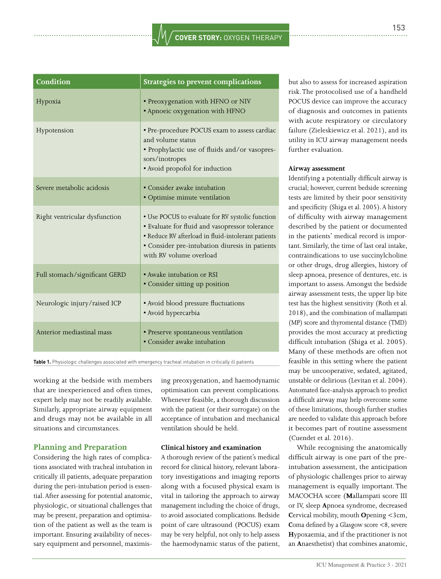| Condition                     | <b>Strategies to prevent complications</b>                                                                                                                                                                                            |
|-------------------------------|---------------------------------------------------------------------------------------------------------------------------------------------------------------------------------------------------------------------------------------|
| Hypoxia                       | • Preoxygenation with HFNO or NIV<br>• Apnoeic oxygenation with HFNO                                                                                                                                                                  |
| Hypotension                   | • Pre-procedure POCUS exam to assess cardiac<br>and volume status<br>· Prophylactic use of fluids and/or vasopres-<br>sors/inotropes<br>• Avoid propofol for induction                                                                |
| Severe metabolic acidosis     | • Consider awake intubation<br>· Optimise minute ventilation                                                                                                                                                                          |
| Right ventricular dysfunction | • Use POCUS to evaluate for RV systolic function<br>· Evaluate for fluid and vasopressor tolerance<br>· Reduce RV afterload in fluid-intolerant patients<br>· Consider pre-intubation diuresis in patients<br>with RV volume overload |
| Full stomach/significant GERD | • Awake intubation or RSI<br>• Consider sitting up position                                                                                                                                                                           |
| Neurologic injury/raised ICP  | • Avoid blood pressure fluctuations<br>· Avoid hypercarbia                                                                                                                                                                            |
| Anterior mediastinal mass     | · Preserve spontaneous ventilation<br>• Consider awake intubation                                                                                                                                                                     |

**Table 1.** Physiologic challenges associated with emergency tracheal intubation in critically ill patients

working at the bedside with members that are inexperienced and often times, expert help may not be readily available. Similarly, appropriate airway equipment and drugs may not be available in all situations and circumstances.

#### **Planning and Preparation**

Considering the high rates of complications associated with tracheal intubation in critically ill patients, adequate preparation during the peri-intubation period is essential. After assessing for potential anatomic, physiologic, or situational challenges that may be present, preparation and optimisation of the patient as well as the team is important. Ensuring availability of necessary equipment and personnel, maximising preoxygenation, and haemodynamic optimisation can prevent complications. Whenever feasible, a thorough discussion with the patient (or their surrogate) on the acceptance of intubation and mechanical ventilation should be held.

#### **Clinical history and examination**

A thorough review of the patient's medical record for clinical history, relevant laboratory investigations and imaging reports along with a focused physical exam is vital in tailoring the approach to airway management including the choice of drugs, to avoid associated complications. Bedside point of care ultrasound (POCUS) exam may be very helpful, not only to help assess the haemodynamic status of the patient,

but also to assess for increased aspiration risk. The protocolised use of a handheld POCUS device can improve the accuracy of diagnosis and outcomes in patients with acute respiratory or circulatory failure (Zieleskiewicz et al. 2021), and its utility in ICU airway management needs further evaluation.

#### **Airway assessment**

Identifying a potentially difficult airway is crucial; however, current bedside screening tests are limited by their poor sensitivity and specificity (Shiga et al. 2005). A history of difficulty with airway management described by the patient or documented in the patients' medical record is important. Similarly, the time of last oral intake, contraindications to use succinylcholine or other drugs, drug allergies, history of sleep apnoea, presence of dentures, etc. is important to assess. Amongst the bedside airway assessment tests, the upper lip bite test has the highest sensitivity (Roth et al. 2018), and the combination of mallampati (MP) score and thyromental distance (TMD) provides the most accuracy at predicting difficult intubation (Shiga et al. 2005). Many of these methods are often not feasible in this setting where the patient may be uncooperative, sedated, agitated, unstable or delirious (Levitan et al. 2004). Automated face-analysis approach to predict a difficult airway may help overcome some of these limitations, though further studies are needed to validate this approach before it becomes part of routine assessment (Cuendet et al. 2016).

While recognising the anatomically difficult airway is one part of the preintubation assessment, the anticipation of physiologic challenges prior to airway management is equally important. The MACOCHA score (**M**allampati score III or IV, sleep **A**pnoea syndrome, decreased **C**ervical mobility, mouth **O**pening <3cm, **Coma defined by a Glasgow score <8, severe H**ypoxaemia, and if the practitioner is not an **A**naesthetist) that combines anatomic,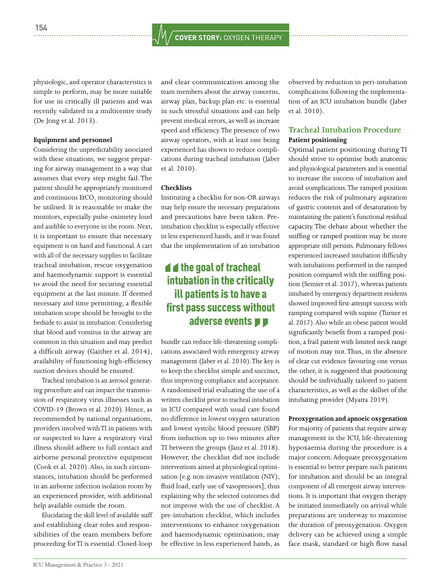physiologic, and operator characteristics is simple to perform, may be more suitable for use in critically ill patients and was recently validated in a multicentre study (De Jong et al. 2013).

#### **Equipment and personnel**

Considering the unpredictability associated with these situations, we suggest preparing for airway management in a way that assumes that every step might fail. The patient should be appropriately monitored and continuous  $\text{EtCO}_2$  monitoring should be utilised. It is reasonable to make the monitors, especially pulse-oximetry loud and audible to everyone in the room. Next, it is important to ensure that necessary equipment is on hand and functional. A cart with all of the necessary supplies to facilitate tracheal intubation, rescue oxygenation and haemodynamic support is essential to avoid the need for securing essential equipment at the last minute. If deemed necessary and time permitting, a flexible intubation scope should be brought to the bedside to assist in intubation. Considering that blood and vomitus in the airway are common in this situation and may predict a difficult airway (Gaither et al. 2014), availability of functioning high-efficiency suction devices should be ensured.

Tracheal intubation is an aerosol generating procedure and can impact the transmission of respiratory virus illnesses such as COVID-19 (Brown et al. 2020). Hence, as recommended by national organisations, providers involved with TI in patients with or suspected to have a respiratory viral illness should adhere to full contact and airborne personal protective equipment (Cook et al. 2020). Also, in such circumstances, intubation should be performed in an airborne infection isolation room by an experienced provider, with additional help available outside the room.

Elucidating the skill level of available staff and establishing clear roles and responsibilities of the team members before proceeding for TI is essential. Closed-loop

and clear communication among the team members about the airway concerns, airway plan, backup plan etc. is essential in such stressful situations and can help prevent medical errors, as well as increase speed and efficiency. The presence of two airway operators, with at least one being experienced has shown to reduce complications during tracheal intubation (Jaber et al. 2010).

#### **Checklists**

Instituting a checklist for non-OR airways may help ensure the necessary preparations and precautions have been taken. Preintubation checklist is especially effective in less experienced hands, and it was found that the implementation of an intubation

#### $\blacktriangleleft$  the goal of tracheal intubation in the critically ill patients is to have a first pass success without adverse events  $\blacksquare$

bundle can reduce life-threatening complications associated with emergency airway management (Jaber et al. 2010). The key is to keep the checklist simple and succinct, thus improving compliance and acceptance. A randomised trial evaluating the use of a written checklist prior to tracheal intubation in ICU compared with usual care found no difference in lowest oxygen saturation and lowest systolic blood pressure (SBP) from induction up to two minutes after TI between the groups (Janz et al. 2018). However, the checklist did not include interventions aimed at physiological optimisation [e.g. non-invasive ventilation (NIV), fluid load, early use of vasopressors], thus explaining why the selected outcomes did not improve with the use of checklist. A pre-intubation checklist, which includes interventions to enhance oxygenation and haemodynamic optimisation, may be effective in less experienced hands, as observed by reduction in peri-intubation complications following the implementation of an ICU intubation bundle (Jaber et al. 2010).

#### **Tracheal Intubation Procedure Patient positioning**

Optimal patient positioning during TI should strive to optimise both anatomic and physiological parameters and is essential to increase the success of intubation and avoid complications. The ramped position reduces the risk of pulmonary aspiration of gastric contents and of desaturation by maintaining the patient's functional residual capacity. The debate about whether the sniffing or ramped position may be more appropriate still persists. Pulmonary fellows experienced increased intubation difficulty with intubations performed in the ramped position compared with the sniffing position (Semier et al. 2017), whereas patients intubated by emergency department residents showed improved first-attempt success with ramping compared with supine (Turner et al. 2017). Also while an obese patient would significantly benefit from a ramped position, a frail patient with limited neck range of motion may not. Thus, in the absence of clear cut evidence favouring one versus the other, it is suggested that positioning should be individually tailored to patient characteristics, as well as the skillset of the intubating provider (Myatra 2019).

#### **Preoxygenation and apnoeic oxygenation**

For majority of patients that require airway management in the ICU, life-threatening hypoxaemia during the procedure is a major concern. Adequate preoxygenation is essential to better prepare such patients for intubation and should be an integral component of all emergent airway interventions. It is important that oxygen therapy be initiated immediately on arrival while preparations are underway to maximise the duration of preoxygenation. Oxygen delivery can be achieved using a simple face mask, standard or high flow nasal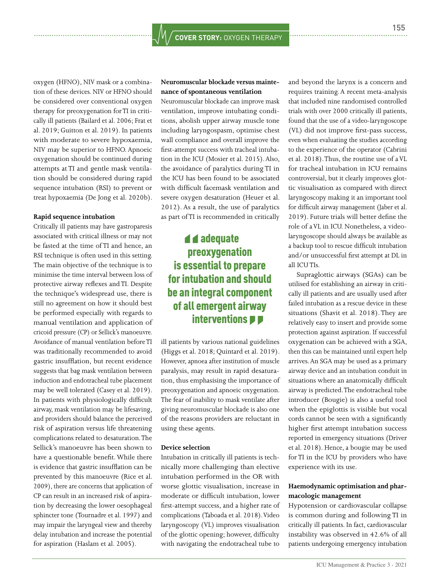oxygen (HFNO), NIV mask or a combination of these devices. NIV or HFNO should be considered over conventional oxygen therapy for preoxygenation for TI in critically ill patients (Bailard et al. 2006; Frat et al. 2019; Guitton et al. 2019). In patients with moderate to severe hypoxaemia, NIV may be superior to HFNO. Apnoeic oxygenation should be continued during attempts at TI and gentle mask ventilation should be considered during rapid sequence intubation (RSI) to prevent or treat hypoxaemia (De Jong et al. 2020b).

#### **Rapid sequence intubation**

Critically ill patients may have gastroparesis associated with critical illness or may not be fasted at the time of TI and hence, an RSI technique is often used in this setting. The main objective of the technique is to minimise the time interval between loss of protective airway reflexes and TI. Despite the technique's widespread use, there is still no agreement on how it should best be performed especially with regards to manual ventilation and application of cricoid pressure (CP) or Sellick's manoeuvre. Avoidance of manual ventilation before TI was traditionally recommended to avoid gastric insufflation, but recent evidence suggests that bag mask ventilation between induction and endotracheal tube placement may be well tolerated (Casey et al. 2019). In patients with physiologically difficult airway, mask ventilation may be lifesaving, and providers should balance the perceived risk of aspiration versus life threatening complications related to desaturation. The Sellick's manoeuvre has been shown to have a questionable benefit. While there is evidence that gastric insufflation can be prevented by this manoeuvre (Rice et al. 2009), there are concerns that application of CP can result in an increased risk of aspiration by decreasing the lower oesophageal sphincter tone (Tournadre et al. 1997) and may impair the laryngeal view and thereby delay intubation and increase the potential for aspiration (Haslam et al. 2005).

#### **Neuromuscular blockade versus maintenance of spontaneous ventilation**

Neuromuscular blockade can improve mask ventilation, improve intubating conditions, abolish upper airway muscle tone including laryngospasm, optimise chest wall compliance and overall improve the first-attempt success with tracheal intubation in the ICU (Mosier et al. 2015). Also, the avoidance of paralytics during TI in the ICU has been found to be associated with difficult facemask ventilation and severe oxygen desaturation (Heuer et al. 2012). As a result, the use of paralytics as part of TI is recommended in critically

#### **d** d adequate preoxygenation is essential to prepare for intubation and should be an integral component of all emergent airway interventions **PP**

ill patients by various national guidelines (Higgs et al. 2018; Quintard et al. 2019). However, apnoea after institution of muscle paralysis, may result in rapid desaturation, thus emphasising the importance of preoxygenation and apnoeic oxygenation. The fear of inability to mask ventilate after giving neuromuscular blockade is also one of the reasons providers are reluctant in using these agents.

#### **Device selection**

Intubation in critically ill patients is technically more challenging than elective intubation performed in the OR with worse glottic visualisation, increase in moderate or difficult intubation, lower first-attempt success, and a higher rate of complications (Taboada et al. 2018). Video laryngoscopy (VL) improves visualisation of the glottic opening; however, difficulty with navigating the endotracheal tube to

and beyond the larynx is a concern and requires training. A recent meta-analysis that included nine randomised controlled trials with over 2000 critically ill patients, found that the use of a video-laryngoscope (VL) did not improve first-pass success, even when evaluating the studies according to the experience of the operator (Cabrini et al. 2018). Thus, the routine use of a VL for tracheal intubation in ICU remains controversial, but it clearly improves glottic visualisation as compared with direct laryngoscopy making it an important tool for difficult airway management (Jaber et al. 2019). Future trials will better define the role of a VL in ICU. Nonetheless, a videolaryngoscope should always be available as a backup tool to rescue difficult intubation and/or unsuccessful first attempt at DL in all ICU TIs.

Supraglottic airways (SGAs) can be utilised for establishing an airway in critically ill patients and are usually used after failed intubation as a rescue device in these situations (Shavit et al. 2018). They are relatively easy to insert and provide some protection against aspiration. If successful oxygenation can be achieved with a SGA, then this can be maintained until expert help arrives. An SGA may be used as a primary airway device and an intubation conduit in situations where an anatomically difficult airway is predicted. The endotracheal tube introducer (Bougie) is also a useful tool when the epiglottis is visible but vocal cords cannot be seen with a significantly higher first attempt intubation success reported in emergency situations (Driver et al. 2018). Hence, a bougie may be used for TI in the ICU by providers who have experience with its use.

#### **Haemodynamic optimisation and pharmacologic management**

Hypotension or cardiovascular collapse is common during and following TI in critically ill patients. In fact, cardiovascular instability was observed in 42.6% of all patients undergoing emergency intubation